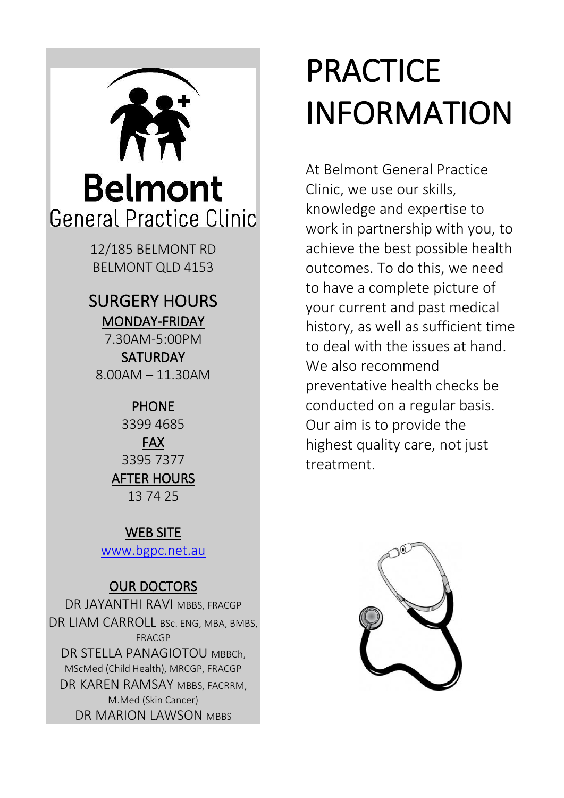

## SURGERY HOURS MONDAY-FRIDAY

7.30AM-5:00PM

**SATURDAY** 8.00AM – 11.30AM

## PHONE

3399 4685

FAX 3395 7377 AFTER HOURS 13 74 25

### WEB SITE

[www.bgpc.net.au](http://www.bgpc.net.au/)

## OUR DOCTORS

DR JAYANTHI RAVI MBBS, FRACGP DR LIAM CARROLL BSc. ENG, MBA, BMBS, FRACGP DR STELLA PANAGIOTOU MBBCh, MScMed (Child Health), MRCGP, FRACGP DR KAREN RAMSAY MBBS, FACRRM, M.Med (Skin Cancer) DR MARION LAWSON MBBS

# **PRACTICE** INFORMATION

At Belmont General Practice Clinic, we use our skills, knowledge and expertise to work in partnership with you, to achieve the best possible health outcomes. To do this, we need to have a complete picture of your current and past medical history, as well as sufficient time to deal with the issues at hand. We also recommend preventative health checks be conducted on a regular basis. Our aim is to provide the highest quality care, not just treatment.

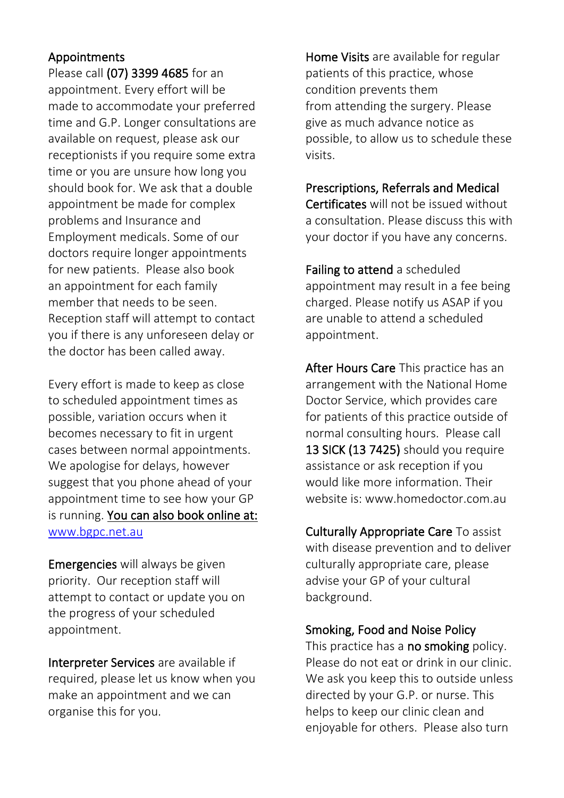#### Appointments

Please call (07) 3399 4685 for an appointment. Every effort will be made to accommodate your preferred time and G.P. Longer consultations are available on request, please ask our receptionists if you require some extra time or you are unsure how long you should book for. We ask that a double appointment be made for complex problems and Insurance and Employment medicals. Some of our doctors require longer appointments for new patients. Please also book an appointment for each family member that needs to be seen. Reception staff will attempt to contact you if there is any unforeseen delay or the doctor has been called away.

Every effort is made to keep as close to scheduled appointment times as possible, variation occurs when it becomes necessary to fit in urgent cases between normal appointments. We apologise for delays, however suggest that you phone ahead of your appointment time to see how your GP is running. You can also book online at: [www.bgpc.net.au](http://www.bgpc.net.au/)

Emergencies will always be given priority. Our reception staff will attempt to contact or update you on the progress of your scheduled appointment.

Interpreter Services are available if required, please let us know when you make an appointment and we can organise this for you.

Home Visits are available for regular patients of this practice, whose condition prevents them from attending the surgery. Please give as much advance notice as possible, to allow us to schedule these visits.

Prescriptions, Referrals and Medical

Certificates will not be issued without a consultation. Please discuss this with your doctor if you have any concerns.

Failing to attend a scheduled appointment may result in a fee being charged. Please notify us ASAP if you are unable to attend a scheduled appointment.

After Hours Care This practice has an arrangement with the National Home Doctor Service, which provides care for patients of this practice outside of normal consulting hours. Please call 13 SICK (13 7425) should you require assistance or ask reception if you would like more information. Their website is: www.homedoctor.com.au.

Culturally Appropriate Care To assist with disease prevention and to deliver culturally appropriate care, please advise your GP of your cultural background.

Smoking, Food and Noise Policy

This practice has a no smoking policy. Please do not eat or drink in our clinic. We ask you keep this to outside unless directed by your G.P. or nurse. This helps to keep our clinic clean and enjoyable for others. Please also turn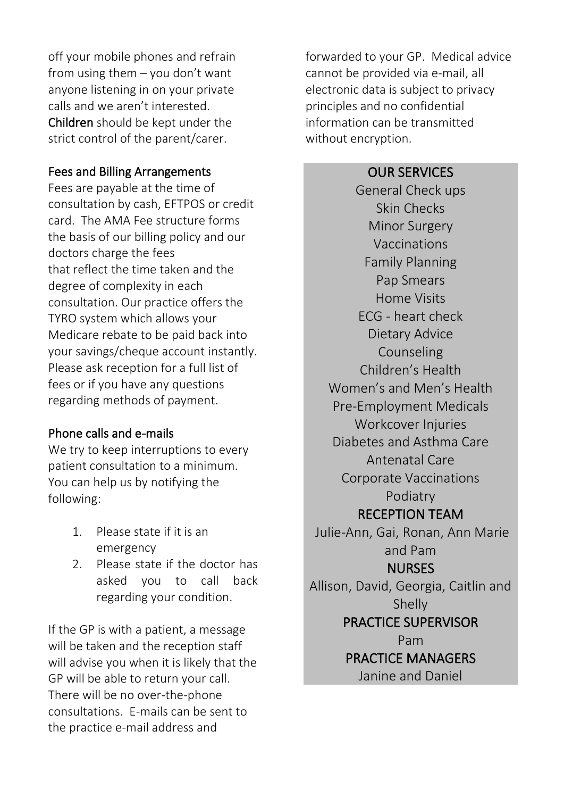off your mobile phones and refrain from using them – you don't want anyone listening in on your private calls and we aren't interested. Children should be kept under the strict control of the parent/carer.

#### Fees and Billing Arrangements

Fees are payable at the time of consultation by cash, EFTPOS or credit card. The AMA Fee structure forms the basis of our billing policy and our doctors charge the fees that reflect the time taken and the degree of complexity in each consultation. Our practice offers the TYRO system which allows your Medicare rebate to be paid back into your savings/cheque account instantly. Please ask reception for a full list of fees or if you have any questions regarding methods of payment.

#### Phone calls and e-mails

We try to keep interruptions to every patient consultation to a minimum. You can help us by notifying the following:

- 1. Please state if it is an emergency
- 2. Please state if the doctor has asked you to call back regarding your condition.

If the GP is with a patient, a message will be taken and the reception staff will advise you when it is likely that the GP will be able to return your call. There will be no over-the-phone consultations. E-mails can be sent to the practice e-mail address and

forwarded to your GP. Medical advice cannot be provided via e-mail, all electronic data is subject to privacy principles and no confidential information can be transmitted without encryption.

#### OUR SERVICES

General Check ups Skin Checks Minor Surgery Vaccinations Family Planning Pap Smears Home Visits ECG - heart check Dietary Advice Counseling Children's Health Women's and Men's Health Pre-Employment Medicals Workcover Injuries Diabetes and Asthma Care Antenatal Care Corporate Vaccinations Podiatry RECEPTION TEAM Julie-Ann, Gai, Ronan, Ann Marie and Pam NURSES Allison, David, Georgia, Caitlin and Shelly PRACTICE SUPERVISOR Pam PRACTICE MANAGERS Janine and Daniel